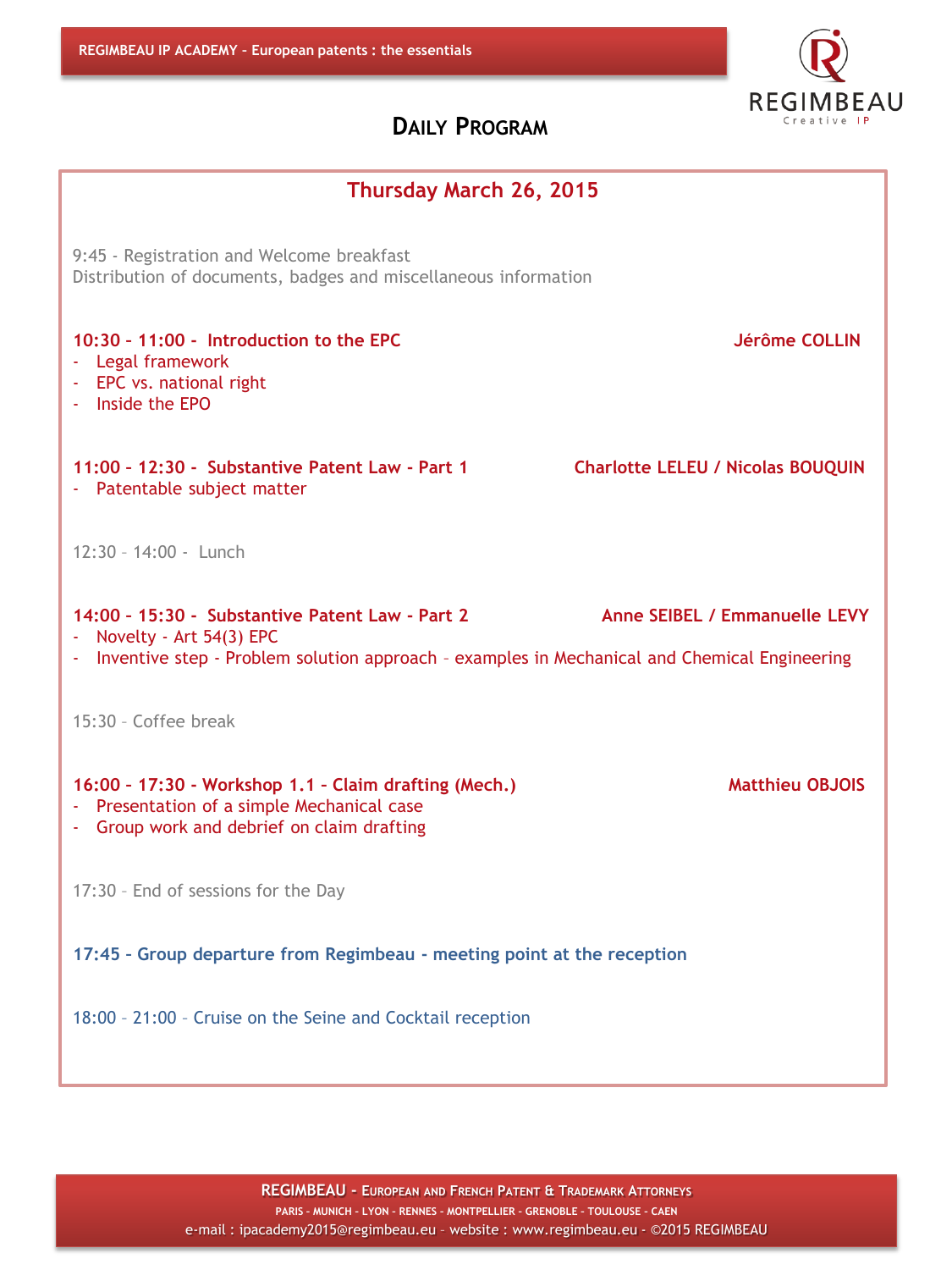| Thursday March 26, 2015                                                                                                                                                                                       |  |  |
|---------------------------------------------------------------------------------------------------------------------------------------------------------------------------------------------------------------|--|--|
| 9:45 - Registration and Welcome breakfast<br>Distribution of documents, badges and miscellaneous information                                                                                                  |  |  |
| 10:30 - 11:00 - Introduction to the EPC<br>Jérôme COLLIN<br>- Legal framework<br>- EPC vs. national right<br>- Inside the EPO                                                                                 |  |  |
| 11:00 - 12:30 - Substantive Patent Law - Part 1<br><b>Charlotte LELEU / Nicolas BOUQUIN</b><br>- Patentable subject matter                                                                                    |  |  |
| $12:30 - 14:00 -$ Lunch                                                                                                                                                                                       |  |  |
| Anne SEIBEL / Emmanuelle LEVY<br>14:00 - 15:30 - Substantive Patent Law - Part 2<br>Novelty - Art 54(3) EPC<br>- Inventive step - Problem solution approach - examples in Mechanical and Chemical Engineering |  |  |
| 15:30 - Coffee break                                                                                                                                                                                          |  |  |
| 16:00 - 17:30 - Workshop 1.1 - Claim drafting (Mech.)<br><b>Matthieu OBJOIS</b><br>- Presentation of a simple Mechanical case<br>- Group work and debrief on claim drafting                                   |  |  |
| 17:30 - End of sessions for the Day                                                                                                                                                                           |  |  |
| 17:45 - Group departure from Regimbeau - meeting point at the reception                                                                                                                                       |  |  |
| 18:00 - 21:00 - Cruise on the Seine and Cocktail reception                                                                                                                                                    |  |  |

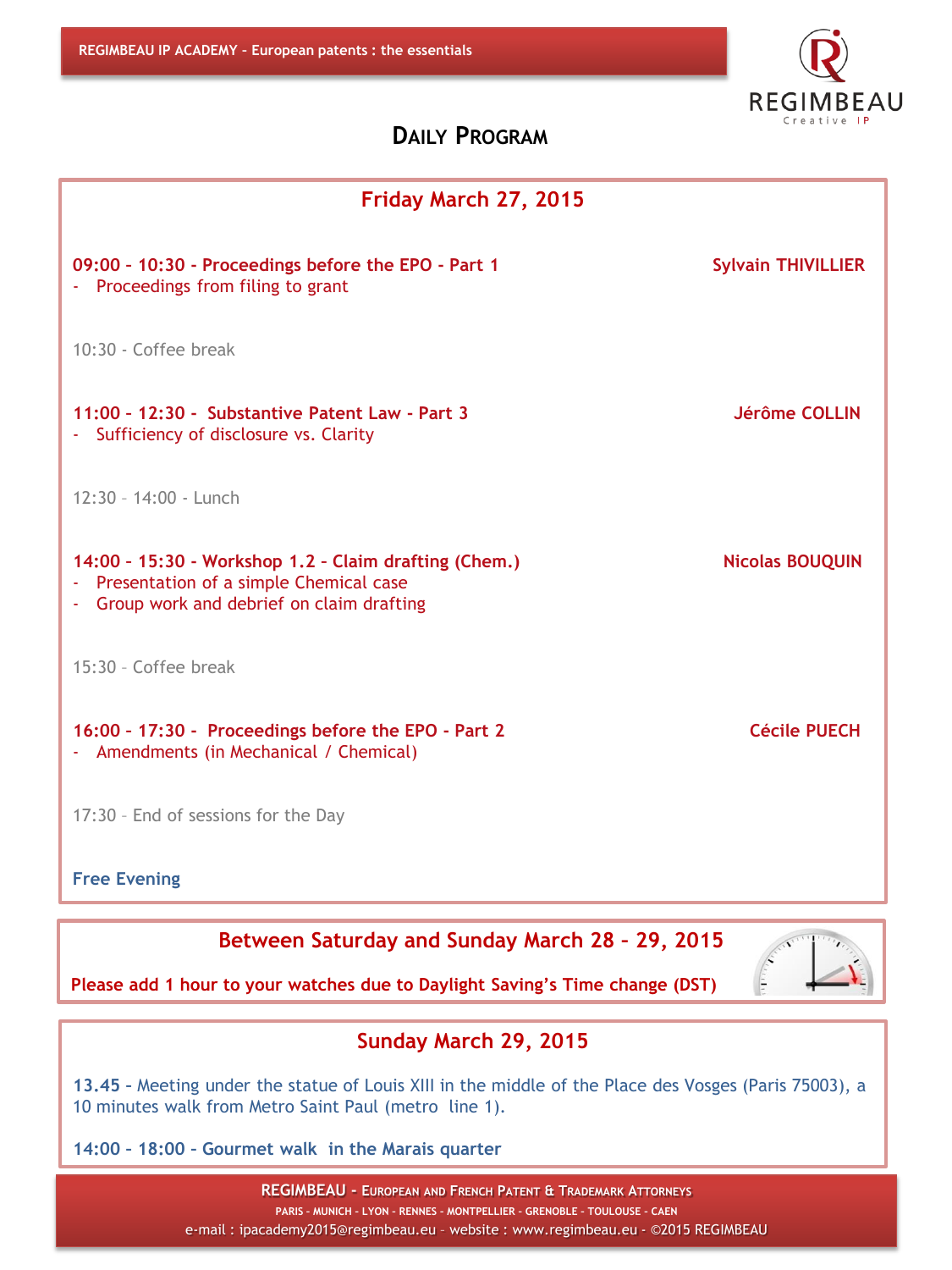

| Friday March 27, 2015                                                                                                                           |                           |  |
|-------------------------------------------------------------------------------------------------------------------------------------------------|---------------------------|--|
| 09:00 - 10:30 - Proceedings before the EPO - Part 1<br>- Proceedings from filing to grant                                                       | <b>Sylvain THIVILLIER</b> |  |
| 10:30 - Coffee break                                                                                                                            |                           |  |
| 11:00 - 12:30 - Substantive Patent Law - Part 3<br>- Sufficiency of disclosure vs. Clarity                                                      | Jérôme COLLIN             |  |
| 12:30 - 14:00 - Lunch                                                                                                                           |                           |  |
| 14:00 - 15:30 - Workshop 1.2 - Claim drafting (Chem.)<br>- Presentation of a simple Chemical case<br>- Group work and debrief on claim drafting | <b>Nicolas BOUQUIN</b>    |  |
| 15:30 - Coffee break                                                                                                                            |                           |  |
| 16:00 - 17:30 - Proceedings before the EPO - Part 2<br>- Amendments (in Mechanical / Chemical)                                                  | <b>Cécile PUECH</b>       |  |
| 17:30 - End of sessions for the Day                                                                                                             |                           |  |
| <b>Free Evening</b>                                                                                                                             |                           |  |

**Between Saturday and Sunday March 28 – 29, 2015**



**Please add 1 hour to your watches due to Daylight Saving's Time change (DST)**

#### **Sunday March 29, 2015**

**13.45 –** Meeting under the statue of Louis XIII in the middle of the Place des Vosges (Paris 75003), a 10 minutes walk from Metro Saint Paul (metro line 1).

**14:00 – 18:00 – Gourmet walk in the Marais quarter**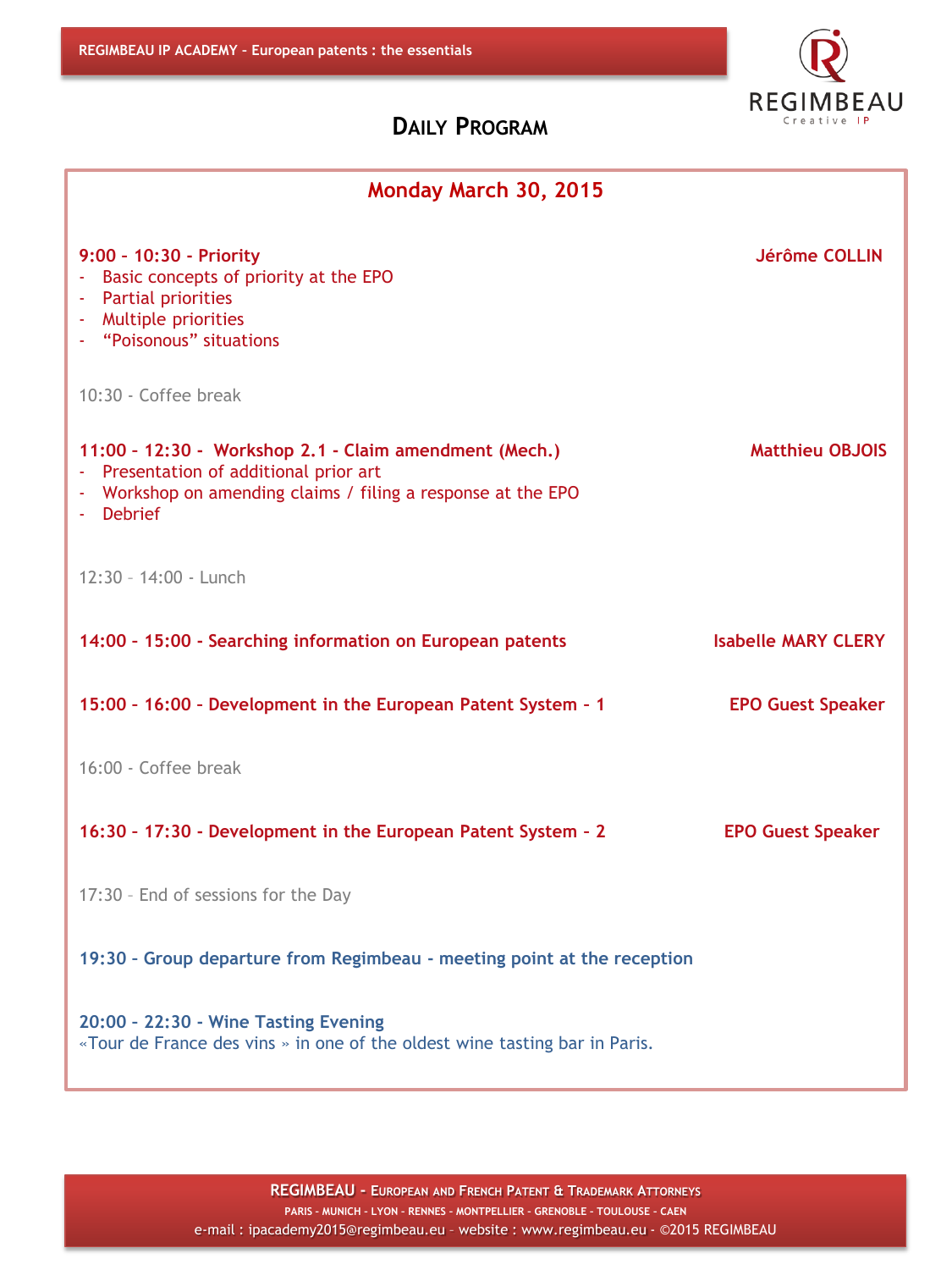

| Monday March 30, 2015                                                                                                                                                         |                            |  |
|-------------------------------------------------------------------------------------------------------------------------------------------------------------------------------|----------------------------|--|
| 9:00 - 10:30 - Priority<br>- Basic concepts of priority at the EPO<br>- Partial priorities<br>- Multiple priorities<br>- "Poisonous" situations                               | <b>Jérôme COLLIN</b>       |  |
| 10:30 - Coffee break                                                                                                                                                          |                            |  |
| 11:00 - 12:30 - Workshop 2.1 - Claim amendment (Mech.)<br>- Presentation of additional prior art<br>- Workshop on amending claims / filing a response at the EPO<br>- Debrief | <b>Matthieu OBJOIS</b>     |  |
| 12:30 - 14:00 - Lunch                                                                                                                                                         |                            |  |
| 14:00 - 15:00 - Searching information on European patents                                                                                                                     | <b>Isabelle MARY CLERY</b> |  |
| 15:00 - 16:00 - Development in the European Patent System - 1                                                                                                                 | <b>EPO Guest Speaker</b>   |  |
| 16:00 - Coffee break                                                                                                                                                          |                            |  |
| 16:30 - 17:30 - Development in the European Patent System - 2                                                                                                                 | <b>EPO Guest Speaker</b>   |  |
| 17:30 - End of sessions for the Day                                                                                                                                           |                            |  |
| 19:30 - Group departure from Regimbeau - meeting point at the reception                                                                                                       |                            |  |
| 20:00 - 22:30 - Wine Tasting Evening<br>«Tour de France des vins » in one of the oldest wine tasting bar in Paris.                                                            |                            |  |